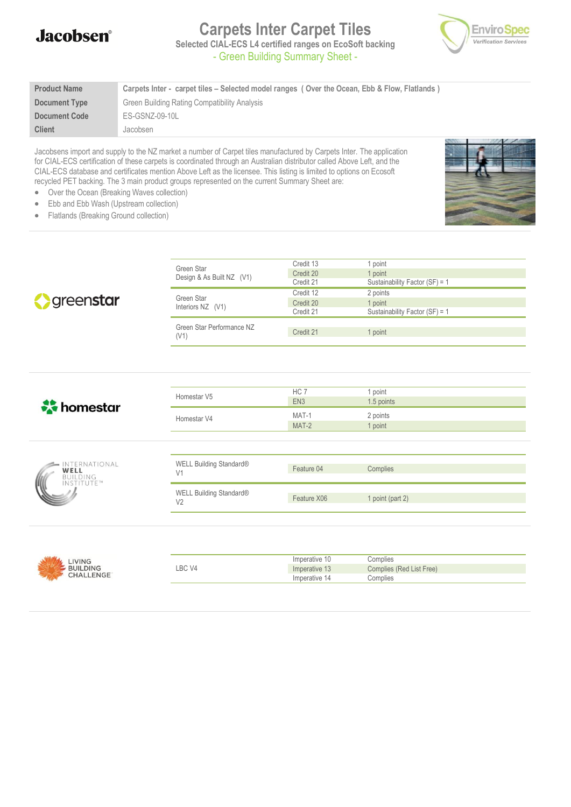#### **Jacobsen**<sup>®</sup>

# **Carpets Inter Carpet Tiles**



**Selected CIAL-ECS L4 certified ranges on EcoSoft backing** - Green Building Summary Sheet -

| <b>Product Name</b>  | Carpets Inter - carpet tiles – Selected model ranges (Over the Ocean, Ebb & Flow, Flatlands) |
|----------------------|----------------------------------------------------------------------------------------------|
| Document Type        | Green Building Rating Compatibility Analysis                                                 |
| <b>Document Code</b> | ES-GSNZ-09-10L                                                                               |
| <b>Client</b>        | Jacobsen                                                                                     |

Jacobsens import and supply to the NZ market a number of Carpet tiles manufactured by Carpets Inter. The application for CIAL-ECS certification of these carpets is coordinated through an Australian distributor called Above Left, and the CIAL-ECS database and certificates mention Above Left as the licensee. This listing is limited to options on Ecosoft recycled PET backing. The 3 main product groups represented on the current Summary Sheet are:

• Over the Ocean (Breaking Waves collection)

- 
- Ebb and Ebb Wash (Upstream collection) • Flatlands (Breaking Ground collection)

|                         | Green Star                        | Credit 13       | 1 point                        |  |
|-------------------------|-----------------------------------|-----------------|--------------------------------|--|
|                         | Design & As Built NZ (V1)         | Credit 20       | 1 point                        |  |
|                         |                                   | Credit 21       | Sustainability Factor (SF) = 1 |  |
|                         | Green Star<br>Interiors NZ (V1)   | Credit 12       | 2 points                       |  |
| greenstar               |                                   | Credit 20       | 1 point                        |  |
|                         |                                   | Credit 21       | Sustainability Factor (SF) = 1 |  |
|                         | Green Star Performance NZ<br>(V1) | Credit 21       | 1 point                        |  |
|                         |                                   |                 |                                |  |
|                         |                                   |                 |                                |  |
|                         |                                   |                 |                                |  |
|                         |                                   |                 |                                |  |
|                         | Homestar V5                       | HC 7            | 1 point                        |  |
| <b>A</b> homestar       |                                   | EN <sub>3</sub> | 1.5 points                     |  |
|                         | Homestar V4                       | MAT-1           | 2 points                       |  |
|                         |                                   | MAT-2           | 1 point                        |  |
|                         |                                   |                 |                                |  |
|                         |                                   |                 |                                |  |
| INTERNATIONAL           | WELL Building Standard®           |                 |                                |  |
| WELL<br><b>BUILDING</b> | V <sub>1</sub>                    | Feature 04      | Complies                       |  |
| INSTITUTE™              | WELL Building Standard®           |                 |                                |  |
|                         | V <sub>2</sub>                    | Feature X06     | 1 point (part 2)               |  |
|                         |                                   |                 |                                |  |
|                         |                                   |                 |                                |  |
|                         |                                   |                 |                                |  |



|        | Imperative 10 | Complies                 |
|--------|---------------|--------------------------|
| LBC V4 | Imperative 13 | Complies (Red List Free) |
|        | Imperative 14 | <i>C</i> omplies         |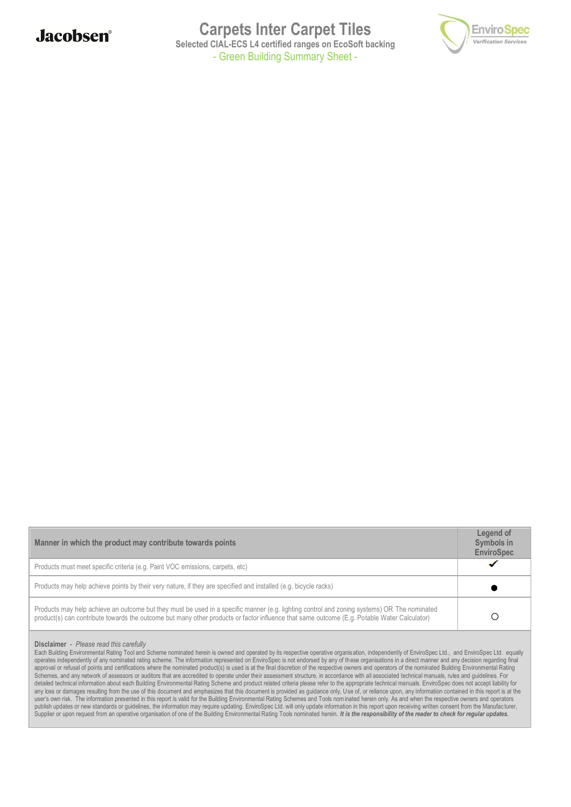

**Carpets Inter Carpet Tiles Selected CIAL-ECS L4 certified ranges on EcoSoft backing** - Green Building Summary Sheet -



| Manner in which the product may contribute towards points                                                                                                                                                                                                                                  | Legend of<br>Symbols in<br><b>EnviroSpec</b> |
|--------------------------------------------------------------------------------------------------------------------------------------------------------------------------------------------------------------------------------------------------------------------------------------------|----------------------------------------------|
| Products must meet specific criteria (e.g. Paint VOC emissions, carpets, etc)                                                                                                                                                                                                              |                                              |
| Products may help achieve points by their very nature, if they are specified and installed (e.g. bicycle racks)                                                                                                                                                                            |                                              |
| Products may help achieve an outcome but they must be used in a specific manner (e.g. lighting control and zoning systems) OR The nominated<br>product(s) can contribute towards the outcome but many other products or factor influence that same outcome (E.g. Potable Water Calculator) |                                              |

**Disclaimer** - *Please read this carefully*

Each Building Environmental Rating Tool and Scheme nominated herein is owned and operated by its respective operative organisation, independently of EnviroSpec Ltd., and EnviroSpec Ltd. equally operates independently of any nominated rating scheme. The information represented on EnviroSpec is not endorsed by any of these organisations in a direct manner and any decision regarding final approval or refusal of points and certifications where the nominated product(s) is used is at the final discretion of the respective owners and operators of the nominated Building Environmental Rating Schemes, and any network of assessors or auditors that are accredited to operate under their assessment structure, in accordance with all associated technical manuals, rules and guidelines. For<br>detailed technical informati any loss or damages resulting from the use of this document and emphasizes that this document is provided as guidance only, Use of, or reliance upon, any information contained in this report is at the user's own risk. The information presented in this report is valid for the Building Environmental Rating Schemes and Tools nominated herein only. As and when the respective owners and operators publish updates or new standards or guidelines, the information may require updating. EnviroSpec Ltd. will only update information in this report upon receiving written consent from the Manufacturer, Supplier or upon request from an operative organisation of one of the Building Environmental Rating Tools nominated herein. It is the responsibility of the reader to check for regular updates.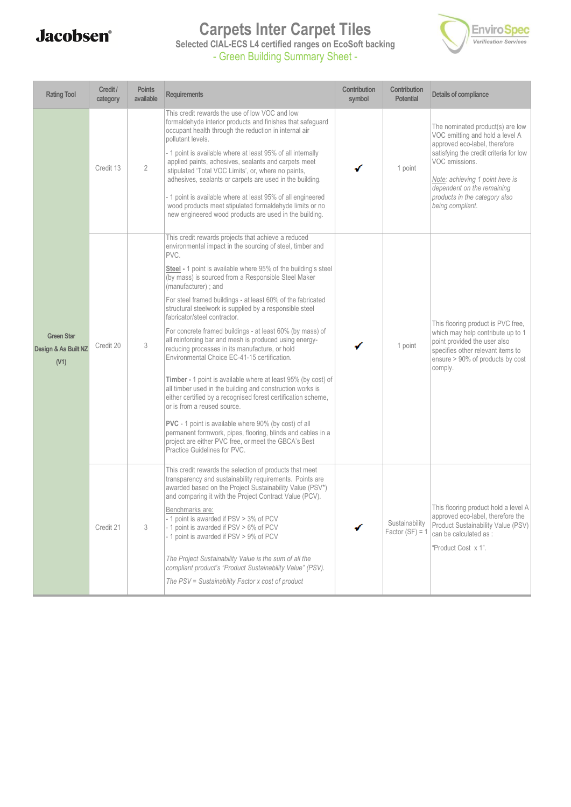## **Carpets Inter Carpet Tiles**



**Selected CIAL-ECS L4 certified ranges on EcoSoft backing** - Green Building Summary Sheet -

| <b>Rating Tool</b>                                | Credit /<br>category | <b>Points</b><br>available | <b>Requirements</b>                                                                                                                                                                                                                                                                                                                                                                                                                                                                                                                                                                                                                                                                                                                                                                                                                                                                                                                                                                                                                                                                                              | Contribution<br>symbol | Contribution<br><b>Potential</b>    | Details of compliance                                                                                                                                                                                                                                                                  |
|---------------------------------------------------|----------------------|----------------------------|------------------------------------------------------------------------------------------------------------------------------------------------------------------------------------------------------------------------------------------------------------------------------------------------------------------------------------------------------------------------------------------------------------------------------------------------------------------------------------------------------------------------------------------------------------------------------------------------------------------------------------------------------------------------------------------------------------------------------------------------------------------------------------------------------------------------------------------------------------------------------------------------------------------------------------------------------------------------------------------------------------------------------------------------------------------------------------------------------------------|------------------------|-------------------------------------|----------------------------------------------------------------------------------------------------------------------------------------------------------------------------------------------------------------------------------------------------------------------------------------|
| <b>Green Star</b><br>Design & As Built NZ<br>(V1) | Credit 13            | $\overline{2}$             | This credit rewards the use of low VOC and low<br>formaldehyde interior products and finishes that safeguard<br>occupant health through the reduction in internal air<br>pollutant levels.<br>- 1 point is available where at least 95% of all internally<br>applied paints, adhesives, sealants and carpets meet<br>stipulated 'Total VOC Limits', or, where no paints,<br>adhesives, sealants or carpets are used in the building.<br>- 1 point is available where at least 95% of all engineered<br>wood products meet stipulated formaldehyde limits or no<br>new engineered wood products are used in the building.                                                                                                                                                                                                                                                                                                                                                                                                                                                                                         |                        | 1 point                             | The nominated product(s) are low<br>VOC emitting and hold a level A<br>approved eco-label, therefore<br>satisfying the credit criteria for low<br>VOC emissions.<br>Note: achieving 1 point here is<br>dependent on the remaining<br>products in the category also<br>being compliant. |
|                                                   | Credit 20            | 3                          | This credit rewards projects that achieve a reduced<br>environmental impact in the sourcing of steel, timber and<br>PVC.<br>Steel - 1 point is available where 95% of the building's steel<br>(by mass) is sourced from a Responsible Steel Maker<br>(manufacturer); and<br>For steel framed buildings - at least 60% of the fabricated<br>structural steelwork is supplied by a responsible steel<br>fabricator/steel contractor.<br>For concrete framed buildings - at least 60% (by mass) of<br>all reinforcing bar and mesh is produced using energy-<br>reducing processes in its manufacture, or hold<br>Environmental Choice EC-41-15 certification.<br>Timber - 1 point is available where at least 95% (by cost) of<br>all timber used in the building and construction works is<br>either certified by a recognised forest certification scheme,<br>or is from a reused source.<br><b>PVC</b> - 1 point is available where 90% (by cost) of all<br>permanent formwork, pipes, flooring, blinds and cables in a<br>project are either PVC free, or meet the GBCA's Best<br>Practice Guidelines for PVC. |                        | 1 point                             | This flooring product is PVC free,<br>which may help contribute up to 1<br>point provided the user also<br>specifies other relevant items to<br>ensure > 90% of products by cost<br>comply.                                                                                            |
|                                                   | Credit 21            | 3                          | This credit rewards the selection of products that meet<br>transparency and sustainability requirements. Points are<br>awarded based on the Project Sustainability Value (PSV*)<br>and comparing it with the Project Contract Value (PCV).<br>Benchmarks are:<br>- 1 point is awarded if PSV > 3% of PCV<br>- 1 point is awarded if PSV > 6% of PCV<br>- 1 point is awarded if PSV > 9% of PCV<br>The Project Sustainability Value is the sum of all the<br>compliant product's "Product Sustainability Value" (PSV).<br>The PSV = Sustainability Factor x cost of product                                                                                                                                                                                                                                                                                                                                                                                                                                                                                                                                       |                        | Sustainability<br>Factor $(SF) = 1$ | This flooring product hold a level A<br>approved eco-label, therefore the<br>Product Sustainability Value (PSV)<br>can be calculated as :<br>"Product Cost x 1".                                                                                                                       |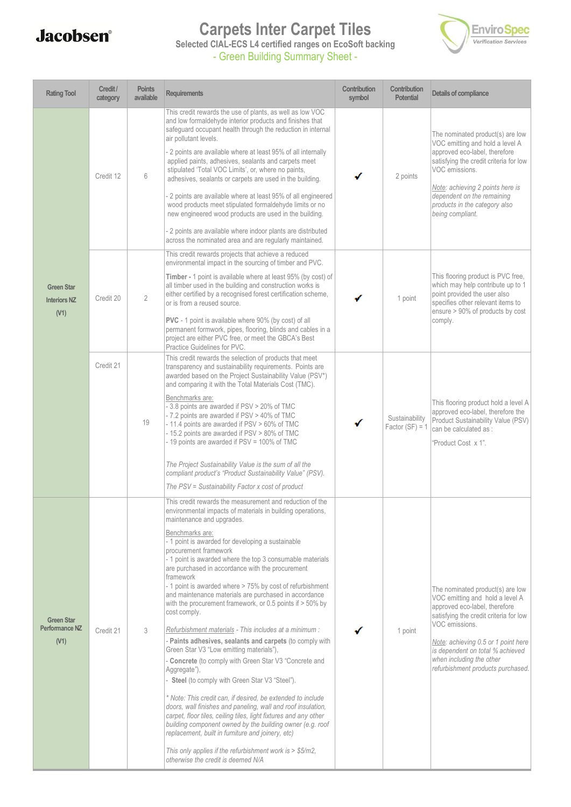## **Carpets Inter Carpet Tiles**



**Selected CIAL-ECS L4 certified ranges on EcoSoft backing**

- Green Building Summary Sheet -

| <b>Rating Tool</b>                               | Credit /<br>category | <b>Points</b><br>available | <b>Requirements</b>                                                                                                                                                                                                                                                                                                                                                                                                                                                                                                                                                                                                                                                                                                                                                                                                                                                                                                                                                                                                                                                                                                                                                                                                                                                                                     | Contribution<br>symbol | Contribution<br><b>Potential</b>    | Details of compliance                                                                                                                                                                                                                                                                                        |
|--------------------------------------------------|----------------------|----------------------------|---------------------------------------------------------------------------------------------------------------------------------------------------------------------------------------------------------------------------------------------------------------------------------------------------------------------------------------------------------------------------------------------------------------------------------------------------------------------------------------------------------------------------------------------------------------------------------------------------------------------------------------------------------------------------------------------------------------------------------------------------------------------------------------------------------------------------------------------------------------------------------------------------------------------------------------------------------------------------------------------------------------------------------------------------------------------------------------------------------------------------------------------------------------------------------------------------------------------------------------------------------------------------------------------------------|------------------------|-------------------------------------|--------------------------------------------------------------------------------------------------------------------------------------------------------------------------------------------------------------------------------------------------------------------------------------------------------------|
| <b>Green Star</b><br><b>Interiors NZ</b><br>(V1) | Credit 12            | 6                          | This credit rewards the use of plants, as well as low VOC<br>and low formaldehyde interior products and finishes that<br>safeguard occupant health through the reduction in internal<br>air pollutant levels.<br>2 points are available where at least 95% of all internally<br>applied paints, adhesives, sealants and carpets meet<br>stipulated 'Total VOC Limits', or, where no paints,<br>adhesives, sealants or carpets are used in the building.<br>2 points are available where at least 95% of all engineered<br>wood products meet stipulated formaldehyde limits or no<br>new engineered wood products are used in the building.<br>2 points are available where indoor plants are distributed<br>across the nominated area and are regularly maintained.                                                                                                                                                                                                                                                                                                                                                                                                                                                                                                                                    |                        | 2 points                            | The nominated product(s) are low<br>VOC emitting and hold a level A<br>approved eco-label, therefore<br>satisfying the credit criteria for low<br>VOC emissions.<br>Note: achieving 2 points here is<br>dependent on the remaining<br>products in the category also<br>being compliant.                      |
|                                                  | Credit 20            | $\overline{2}$             | This credit rewards projects that achieve a reduced<br>environmental impact in the sourcing of timber and PVC.<br>Timber - 1 point is available where at least 95% (by cost) of<br>all timber used in the building and construction works is<br>either certified by a recognised forest certification scheme,<br>or is from a reused source.<br><b>PVC</b> - 1 point is available where 90% (by cost) of all<br>permanent formwork, pipes, flooring, blinds and cables in a<br>project are either PVC free, or meet the GBCA's Best<br>Practice Guidelines for PVC.                                                                                                                                                                                                                                                                                                                                                                                                                                                                                                                                                                                                                                                                                                                                     |                        | 1 point                             | This flooring product is PVC free,<br>which may help contribute up to 1<br>point provided the user also<br>specifies other relevant items to<br>ensure > 90% of products by cost<br>comply.                                                                                                                  |
|                                                  | Credit 21            | 19                         | This credit rewards the selection of products that meet<br>transparency and sustainability requirements. Points are<br>awarded based on the Project Sustainability Value (PSV*)<br>and comparing it with the Total Materials Cost (TMC).<br>Benchmarks are:<br>- 3.8 points are awarded if PSV > 20% of TMC<br>- 7.2 points are awarded if PSV > 40% of TMC<br>- 11.4 points are awarded if PSV > 60% of TMC<br>- 15.2 points are awarded if PSV > 80% of TMC<br>- 19 points are awarded if PSV = 100% of TMC<br>The Project Sustainability Value is the sum of all the<br>compliant product's "Product Sustainability Value" (PSV).<br>The PSV = Sustainability Factor x cost of product                                                                                                                                                                                                                                                                                                                                                                                                                                                                                                                                                                                                               |                        | Sustainability<br>Factor $(SF) = 1$ | This flooring product hold a level A<br>approved eco-label, therefore the<br>Product Sustainability Value (PSV)<br>can be calculated as :<br>"Product Cost x 1".                                                                                                                                             |
| <b>Green Star</b><br>Performance NZ<br>(V1)      | Credit 21            | 3                          | This credit rewards the measurement and reduction of the<br>environmental impacts of materials in building operations,<br>maintenance and upgrades.<br>Benchmarks are:<br>- 1 point is awarded for developing a sustainable<br>procurement framework<br>- 1 point is awarded where the top 3 consumable materials<br>are purchased in accordance with the procurement<br>framework<br>- 1 point is awarded where > 75% by cost of refurbishment<br>and maintenance materials are purchased in accordance<br>with the procurement framework, or 0.5 points if $>$ 50% by<br>cost comply.<br>Refurbishment materials - This includes at a minimum :<br>Paints adhesives, sealants and carpets (to comply with<br>Green Star V3 "Low emitting materials"),<br>Concrete (to comply with Green Star V3 "Concrete and<br>Aggregate"),<br>Steel (to comply with Green Star V3 "Steel").<br>* Note: This credit can, if desired, be extended to include<br>doors, wall finishes and paneling, wall and roof insulation,<br>carpet, floor tiles, ceiling tiles, light fixtures and any other<br>building component owned by the building owner (e.g. roof<br>replacement, built in furniture and joinery, etc)<br>This only applies if the refurbishment work is > \$5/m2,<br>otherwise the credit is deemed N/A |                        | 1 point                             | The nominated product(s) are low<br>VOC emitting and hold a level A<br>approved eco-label, therefore<br>satisfying the credit criteria for low<br>VOC emissions.<br>Note: achieving 0.5 or 1 point here<br>is dependent on total % achieved<br>when including the other<br>refurbishment products purchased. |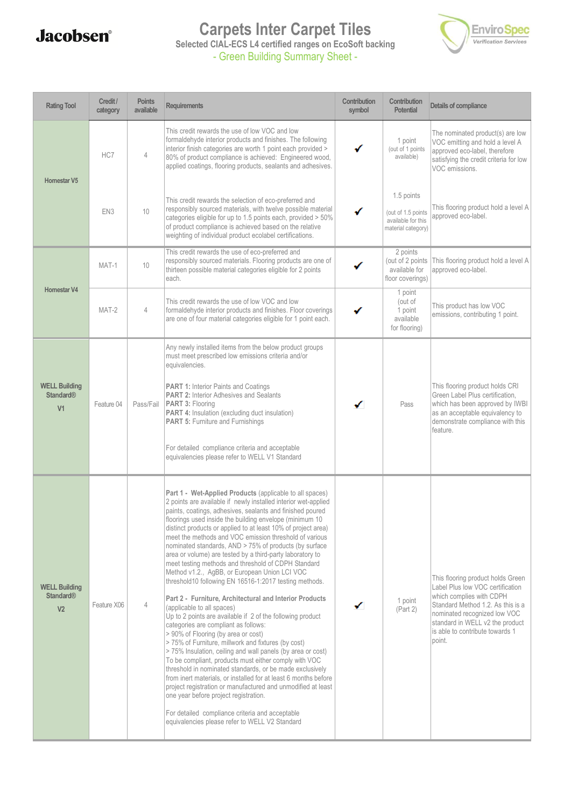#### **Carpets Inter Carpet Tiles**



**Selected CIAL-ECS L4 certified ranges on EcoSoft backing** - Green Building Summary Sheet -

| <b>Rating Tool</b>                                         | Credit /<br>category | <b>Points</b><br>available | <b>Requirements</b>                                                                                                                                                                                                                                                                                                                                                                                                                                                                                                                                                                                                                                                                                                                                                                                                                                                                                                                                                                                                                                                                                                                                                                                                                                                                                                                                                                                                                     | Contribution<br>symbol | Contribution<br><b>Potential</b>                                             | Details of compliance                                                                                                                                                                                                                                  |
|------------------------------------------------------------|----------------------|----------------------------|-----------------------------------------------------------------------------------------------------------------------------------------------------------------------------------------------------------------------------------------------------------------------------------------------------------------------------------------------------------------------------------------------------------------------------------------------------------------------------------------------------------------------------------------------------------------------------------------------------------------------------------------------------------------------------------------------------------------------------------------------------------------------------------------------------------------------------------------------------------------------------------------------------------------------------------------------------------------------------------------------------------------------------------------------------------------------------------------------------------------------------------------------------------------------------------------------------------------------------------------------------------------------------------------------------------------------------------------------------------------------------------------------------------------------------------------|------------------------|------------------------------------------------------------------------------|--------------------------------------------------------------------------------------------------------------------------------------------------------------------------------------------------------------------------------------------------------|
| <b>Homestar V5</b>                                         | HC7                  | 4                          | This credit rewards the use of low VOC and low<br>formaldehyde interior products and finishes. The following<br>interior finish categories are worth 1 point each provided ><br>80% of product compliance is achieved: Engineered wood,<br>applied coatings, flooring products, sealants and adhesives.                                                                                                                                                                                                                                                                                                                                                                                                                                                                                                                                                                                                                                                                                                                                                                                                                                                                                                                                                                                                                                                                                                                                 |                        | 1 point<br>(out of 1 points<br>available)                                    | The nominated product(s) are low<br>VOC emitting and hold a level A<br>approved eco-label, therefore<br>satisfying the credit criteria for low<br>VOC emissions.                                                                                       |
|                                                            | EN <sub>3</sub>      | 10                         | This credit rewards the selection of eco-preferred and<br>responsibly sourced materials, with twelve possible material<br>categories eligible for up to 1.5 points each, provided > 50%<br>of product compliance is achieved based on the relative<br>weighting of individual product ecolabel certifications.                                                                                                                                                                                                                                                                                                                                                                                                                                                                                                                                                                                                                                                                                                                                                                                                                                                                                                                                                                                                                                                                                                                          |                        | 1.5 points<br>(out of 1.5 points<br>available for this<br>material category) | This flooring product hold a level A<br>approved eco-label.                                                                                                                                                                                            |
|                                                            | MAT-1                | 10                         | This credit rewards the use of eco-preferred and<br>responsibly sourced materials. Flooring products are one of<br>thirteen possible material categories eligible for 2 points<br>each.                                                                                                                                                                                                                                                                                                                                                                                                                                                                                                                                                                                                                                                                                                                                                                                                                                                                                                                                                                                                                                                                                                                                                                                                                                                 |                        | 2 points<br>(out of 2 points<br>available for<br>floor coverings)            | This flooring product hold a level A<br>approved eco-label.                                                                                                                                                                                            |
| <b>Homestar V4</b>                                         | MAT-2                | 4                          | This credit rewards the use of low VOC and low<br>formaldehyde interior products and finishes. Floor coverings<br>are one of four material categories eligible for 1 point each.                                                                                                                                                                                                                                                                                                                                                                                                                                                                                                                                                                                                                                                                                                                                                                                                                                                                                                                                                                                                                                                                                                                                                                                                                                                        |                        | 1 point<br>(out of<br>1 point<br>available<br>for flooring)                  | This product has low VOC<br>emissions, contributing 1 point.                                                                                                                                                                                           |
| <b>WELL Building</b><br><b>Standard®</b><br>V <sub>1</sub> | Feature 04           | Pass/Fail                  | Any newly installed items from the below product groups<br>must meet prescribed low emissions criteria and/or<br>equivalencies.<br><b>PART 1: Interior Paints and Coatings</b><br>PART 2: Interior Adhesives and Sealants<br>PART 3: Flooring<br>PART 4: Insulation (excluding duct insulation)<br><b>PART 5: Furniture and Furnishings</b><br>For detailed compliance criteria and acceptable<br>equivalencies please refer to WELL V1 Standard                                                                                                                                                                                                                                                                                                                                                                                                                                                                                                                                                                                                                                                                                                                                                                                                                                                                                                                                                                                        | ✓                      | Pass                                                                         | This flooring product holds CRI<br>Green Label Plus certification,<br>which has been approved by IWBI<br>as an acceptable equivalency to<br>demonstrate compliance with this<br>feature.                                                               |
| <b>WELL Building</b><br><b>Standard®</b><br>V <sub>2</sub> | Feature X06          | $\overline{4}$             | Part 1 - Wet-Applied Products (applicable to all spaces)<br>2 points are available if newly installed interior wet-applied<br>paints, coatings, adhesives, sealants and finished poured<br>floorings used inside the building envelope (minimum 10)<br>distinct products or applied to at least 10% of project area)<br>meet the methods and VOC emission threshold of various<br>nominated standards, AND > 75% of products (by surface<br>area or volume) are tested by a third-party laboratory to<br>meet testing methods and threshold of CDPH Standard<br>Method v1.2., AgBB, or European Union LCI VOC<br>threshold10 following EN 16516-1:2017 testing methods.<br>Part 2 - Furniture, Architectural and Interior Products<br>(applicable to all spaces)<br>Up to 2 points are available if 2 of the following product<br>categories are compliant as follows:<br>> 90% of Flooring (by area or cost)<br>>75% of Furniture, millwork and fixtures (by cost)<br>>75% Insulation, ceiling and wall panels (by area or cost)<br>To be compliant, products must either comply with VOC<br>threshold in nominated standards, or be made exclusively<br>from inert materials, or installed for at least 6 months before<br>project registration or manufactured and unmodified at least<br>one year before project registration.<br>For detailed compliance criteria and acceptable<br>equivalencies please refer to WELL V2 Standard |                        | 1 point<br>(Part 2)                                                          | This flooring product holds Green<br>Label Plus low VOC certification<br>which complies with CDPH<br>Standard Method 1.2. As this is a<br>nominated recognized low VOC<br>standard in WELL v2 the product<br>is able to contribute towards 1<br>point. |